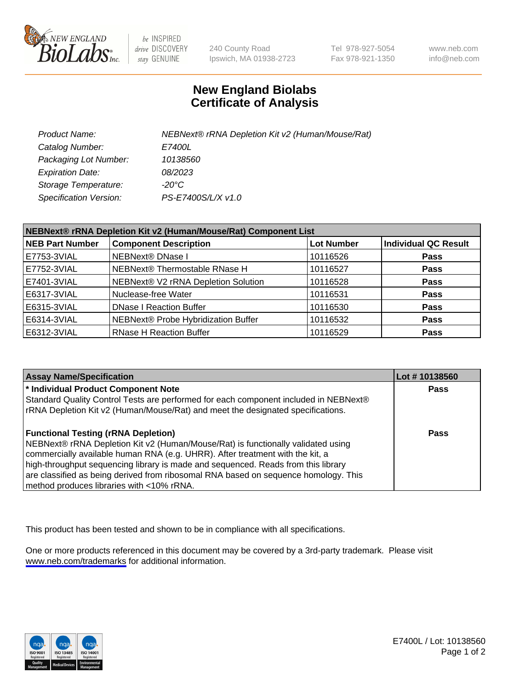

be INSPIRED drive DISCOVERY stay GENUINE

240 County Road Ipswich, MA 01938-2723 Tel 978-927-5054 Fax 978-921-1350

www.neb.com info@neb.com

## **New England Biolabs Certificate of Analysis**

| Product Name:           | NEBNext® rRNA Depletion Kit v2 (Human/Mouse/Rat) |
|-------------------------|--------------------------------------------------|
| Catalog Number:         | <i>E7400L</i>                                    |
| Packaging Lot Number:   | 10138560                                         |
| <b>Expiration Date:</b> | 08/2023                                          |
| Storage Temperature:    | -20°C                                            |
| Specification Version:  | PS-E7400S/L/X v1.0                               |

| NEBNext® rRNA Depletion Kit v2 (Human/Mouse/Rat) Component List |                                     |                   |                             |  |
|-----------------------------------------------------------------|-------------------------------------|-------------------|-----------------------------|--|
| <b>NEB Part Number</b>                                          | <b>Component Description</b>        | <b>Lot Number</b> | <b>Individual QC Result</b> |  |
| E7753-3VIAL                                                     | NEBNext® DNase I                    | 10116526          | <b>Pass</b>                 |  |
| E7752-3VIAL                                                     | NEBNext® Thermostable RNase H       | 10116527          | <b>Pass</b>                 |  |
| E7401-3VIAL                                                     | NEBNext® V2 rRNA Depletion Solution | 10116528          | <b>Pass</b>                 |  |
| E6317-3VIAL                                                     | Nuclease-free Water                 | 10116531          | <b>Pass</b>                 |  |
| E6315-3VIAL                                                     | <b>DNase I Reaction Buffer</b>      | 10116530          | <b>Pass</b>                 |  |
| E6314-3VIAL                                                     | NEBNext® Probe Hybridization Buffer | 10116532          | <b>Pass</b>                 |  |
| E6312-3VIAL                                                     | <b>RNase H Reaction Buffer</b>      | 10116529          | <b>Pass</b>                 |  |

| <b>Assay Name/Specification</b>                                                      | Lot #10138560 |
|--------------------------------------------------------------------------------------|---------------|
| * Individual Product Component Note                                                  | <b>Pass</b>   |
| Standard Quality Control Tests are performed for each component included in NEBNext® |               |
| rRNA Depletion Kit v2 (Human/Mouse/Rat) and meet the designated specifications.      |               |
| <b>Functional Testing (rRNA Depletion)</b>                                           | Pass          |
| NEBNext® rRNA Depletion Kit v2 (Human/Mouse/Rat) is functionally validated using     |               |
| commercially available human RNA (e.g. UHRR). After treatment with the kit, a        |               |
| high-throughput sequencing library is made and sequenced. Reads from this library    |               |
| are classified as being derived from ribosomal RNA based on sequence homology. This  |               |
| method produces libraries with <10% rRNA.                                            |               |

This product has been tested and shown to be in compliance with all specifications.

One or more products referenced in this document may be covered by a 3rd-party trademark. Please visit <www.neb.com/trademarks>for additional information.